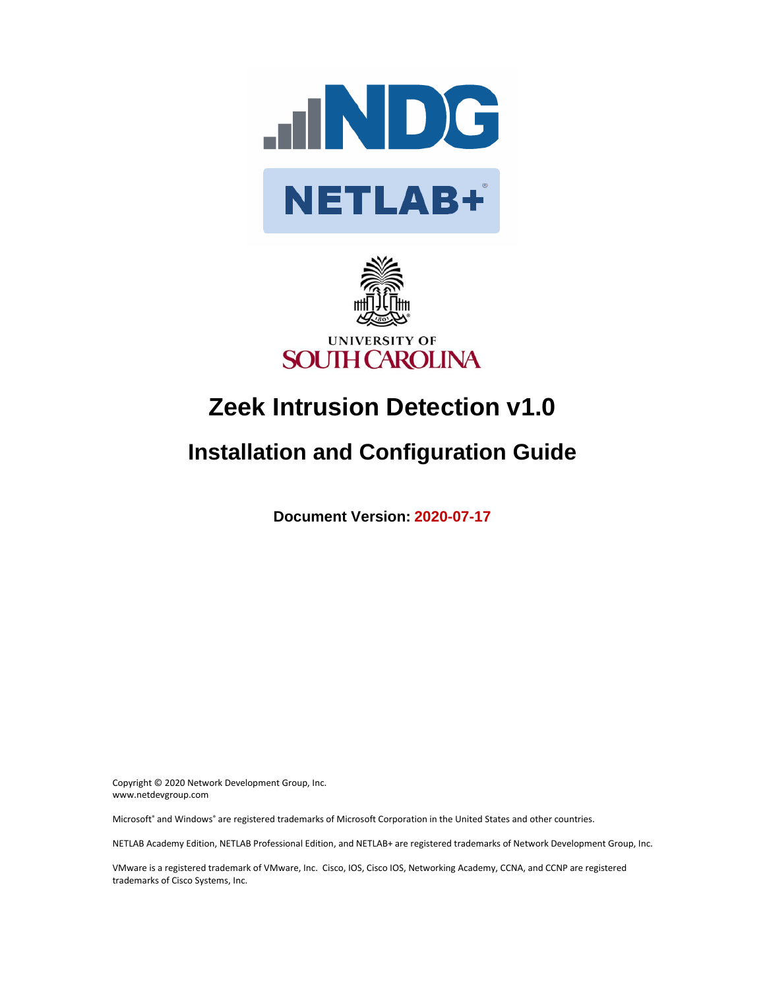



# **Zeek Intrusion Detection v1.0**

## **Installation and Configuration Guide**

**Document Version: 2020-07-17**

Copyright © 2020 Network Development Group, Inc. www.netdevgroup.com

Microsoft® and Windows® are registered trademarks of Microsoft Corporation in the United States and other countries.

NETLAB Academy Edition, NETLAB Professional Edition, and NETLAB+ are registered trademarks of Network Development Group, Inc.

VMware is a registered trademark of VMware, Inc. Cisco, IOS, Cisco IOS, Networking Academy, CCNA, and CCNP are registered trademarks of Cisco Systems, Inc.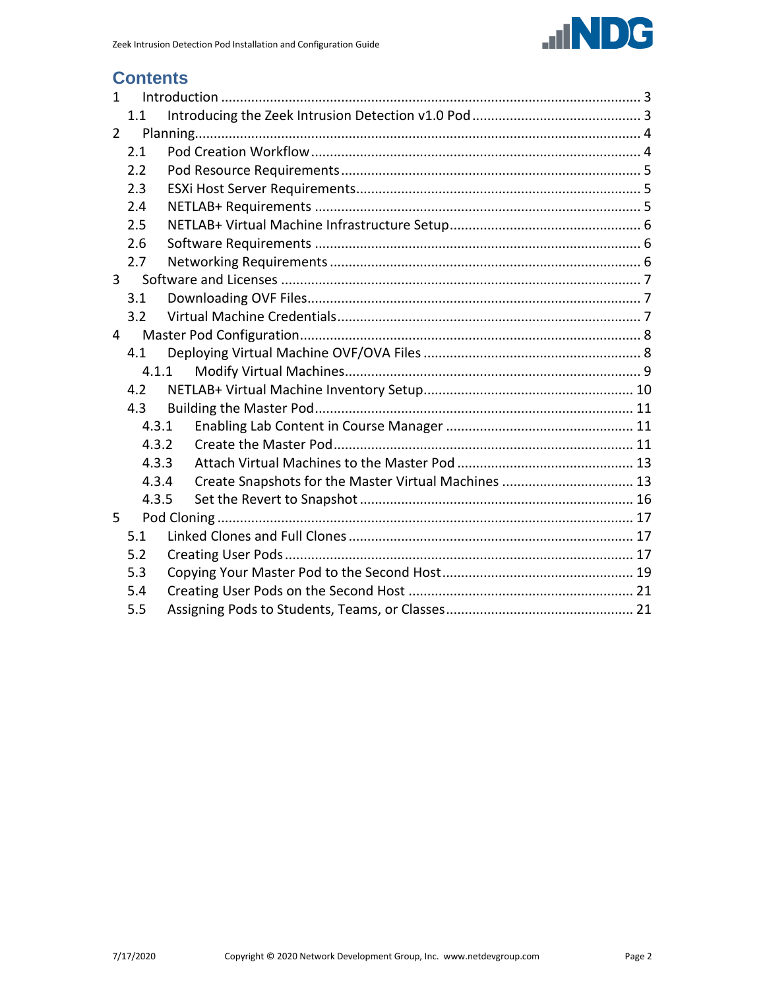

### **Contents**

| $\mathbf{1}$ |       |                                                      |  |  |  |  |
|--------------|-------|------------------------------------------------------|--|--|--|--|
|              | 1.1   |                                                      |  |  |  |  |
| 2            |       |                                                      |  |  |  |  |
|              | 2.1   |                                                      |  |  |  |  |
|              | 2.2   |                                                      |  |  |  |  |
|              | 2.3   |                                                      |  |  |  |  |
|              | 2.4   |                                                      |  |  |  |  |
|              | 2.5   |                                                      |  |  |  |  |
|              | 2.6   |                                                      |  |  |  |  |
|              | 2.7   |                                                      |  |  |  |  |
| $\mathbf{3}$ |       |                                                      |  |  |  |  |
|              | 3.1   |                                                      |  |  |  |  |
|              | 3.2   |                                                      |  |  |  |  |
| 4            |       |                                                      |  |  |  |  |
|              | 4.1   |                                                      |  |  |  |  |
|              |       | 4.1.1                                                |  |  |  |  |
|              | 4.2   |                                                      |  |  |  |  |
|              | 4.3   |                                                      |  |  |  |  |
|              | 4.3.1 |                                                      |  |  |  |  |
|              | 4.3.2 |                                                      |  |  |  |  |
|              | 4.3.3 |                                                      |  |  |  |  |
|              | 4.3.4 | Create Snapshots for the Master Virtual Machines  13 |  |  |  |  |
|              | 4.3.5 |                                                      |  |  |  |  |
| 5            |       |                                                      |  |  |  |  |
|              | 5.1   |                                                      |  |  |  |  |
|              | 5.2   |                                                      |  |  |  |  |
|              | 5.3   |                                                      |  |  |  |  |
|              | 5.4   |                                                      |  |  |  |  |
|              | 5.5   |                                                      |  |  |  |  |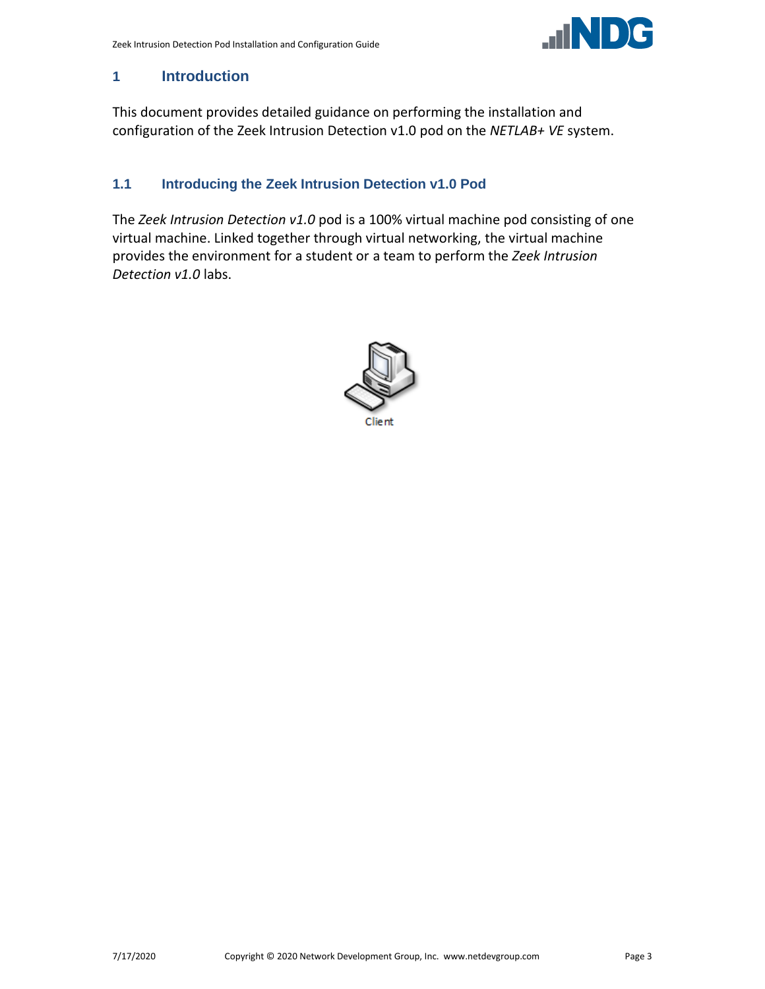

#### <span id="page-2-0"></span>**1 Introduction**

This document provides detailed guidance on performing the installation and configuration of the Zeek Intrusion Detection v1.0 pod on the *NETLAB+ VE* system.

#### <span id="page-2-1"></span>**1.1 Introducing the Zeek Intrusion Detection v1.0 Pod**

The *Zeek Intrusion Detection v1.0* pod is a 100% virtual machine pod consisting of one virtual machine. Linked together through virtual networking, the virtual machine provides the environment for a student or a team to perform the *Zeek Intrusion Detection v1.0* labs.

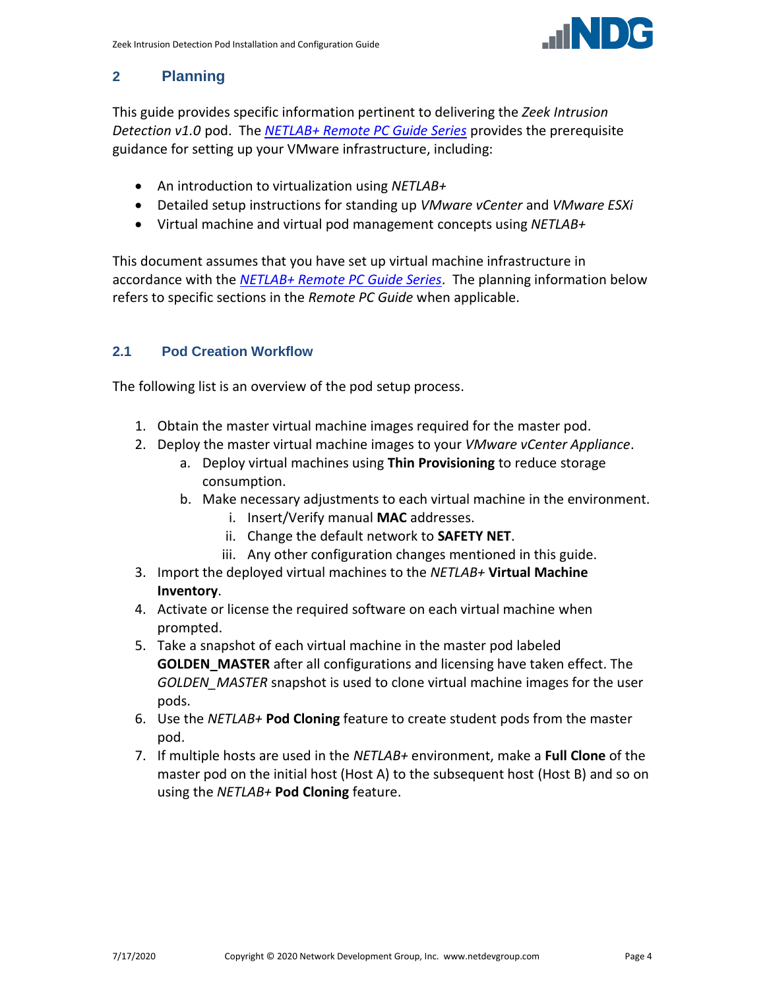

#### <span id="page-3-0"></span>**2 Planning**

This guide provides specific information pertinent to delivering the *Zeek Intrusion Detection v1.0* pod. The *[NETLAB+ Remote PC Guide Series](http://www.netdevgroup.com/support/documentation/netlabve/)* provides the prerequisite guidance for setting up your VMware infrastructure, including:

- An introduction to virtualization using *NETLAB+*
- Detailed setup instructions for standing up *VMware vCenter* and *VMware ESXi*
- Virtual machine and virtual pod management concepts using *NETLAB+*

This document assumes that you have set up virtual machine infrastructure in accordance with the *[NETLAB+ Remote PC Guide Series](http://www.netdevgroup.com/support/documentation/netlabve/)*. The planning information below refers to specific sections in the *Remote PC Guide* when applicable.

#### <span id="page-3-1"></span>**2.1 Pod Creation Workflow**

The following list is an overview of the pod setup process.

- 1. Obtain the master virtual machine images required for the master pod.
- 2. Deploy the master virtual machine images to your *VMware vCenter Appliance*.
	- a. Deploy virtual machines using **Thin Provisioning** to reduce storage consumption.
	- b. Make necessary adjustments to each virtual machine in the environment.
		- i. Insert/Verify manual **MAC** addresses.
		- ii. Change the default network to **SAFETY NET**.
		- iii. Any other configuration changes mentioned in this guide.
- 3. Import the deployed virtual machines to the *NETLAB+* **Virtual Machine Inventory**.
- 4. Activate or license the required software on each virtual machine when prompted.
- 5. Take a snapshot of each virtual machine in the master pod labeled **GOLDEN\_MASTER** after all configurations and licensing have taken effect. The *GOLDEN\_MASTER* snapshot is used to clone virtual machine images for the user pods.
- 6. Use the *NETLAB+* **Pod Cloning** feature to create student pods from the master pod.
- 7. If multiple hosts are used in the *NETLAB+* environment, make a **Full Clone** of the master pod on the initial host (Host A) to the subsequent host (Host B) and so on using the *NETLAB+* **Pod Cloning** feature.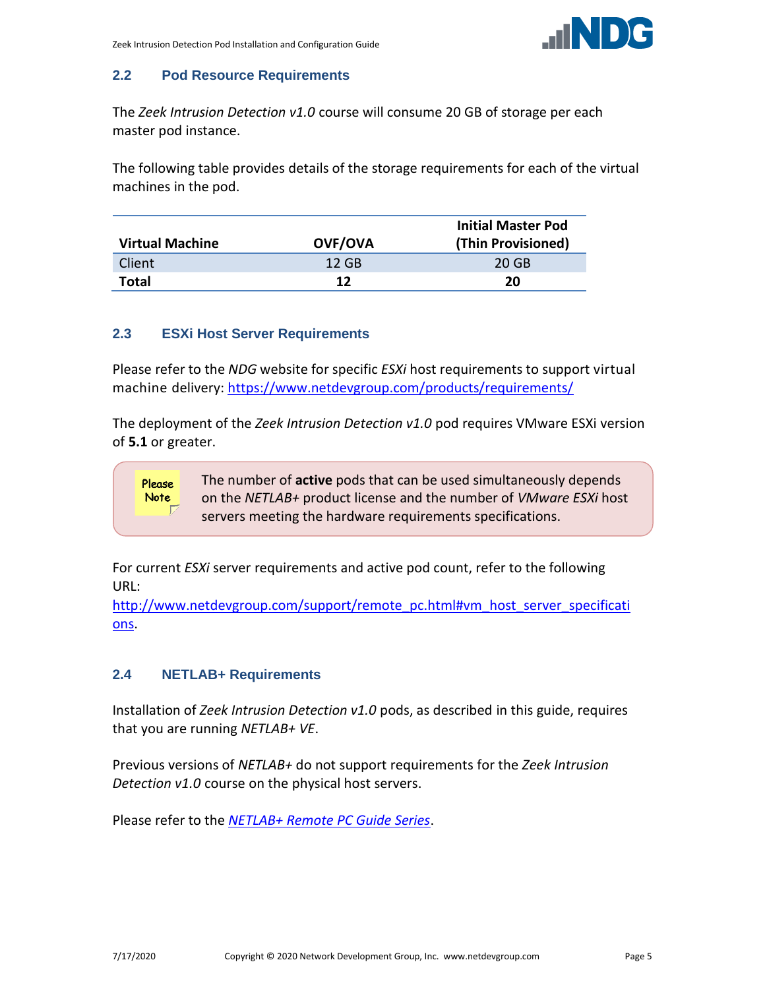

#### <span id="page-4-0"></span>**2.2 Pod Resource Requirements**

The *Zeek Intrusion Detection v1.0* course will consume 20 GB of storage per each master pod instance.

The following table provides details of the storage requirements for each of the virtual machines in the pod.

|                        |                | <b>Initial Master Pod</b> |
|------------------------|----------------|---------------------------|
| <b>Virtual Machine</b> | <b>OVF/OVA</b> | (Thin Provisioned)        |
| Client                 | 12 GB          | 20 GB                     |
| <b>Total</b>           | 12             | 20                        |

#### <span id="page-4-1"></span>**2.3 ESXi Host Server Requirements**

Please refer to the *NDG* website for specific *ESXi* host requirements to support virtual machine delivery: <https://www.netdevgroup.com/products/requirements/>

The deployment of the *Zeek Intrusion Detection v1.0* pod requires VMware ESXi version of **5.1** or greater.

The number of **active** pods that can be used simultaneously depends Please on the *NETLAB+* product license and the number of *VMware ESXi* host Note servers meeting the hardware requirements specifications.

For current *ESXi* server requirements and active pod count, refer to the following URL:

[http://www.netdevgroup.com/support/remote\\_pc.html#vm\\_host\\_server\\_specificati](http://www.netdevgroup.com/support/remote_pc.html#vm_host_server_specifications) [ons.](http://www.netdevgroup.com/support/remote_pc.html#vm_host_server_specifications)

#### <span id="page-4-2"></span>**2.4 NETLAB+ Requirements**

Installation of *Zeek Intrusion Detection v1.0* pods, as described in this guide, requires that you are running *NETLAB+ VE*.

Previous versions of *NETLAB+* do not support requirements for the *Zeek Intrusion Detection v1.0* course on the physical host servers.

Please refer to the *[NETLAB+ Remote PC Guide Series](https://www.netdevgroup.com/support/documentation/netlabve/)*.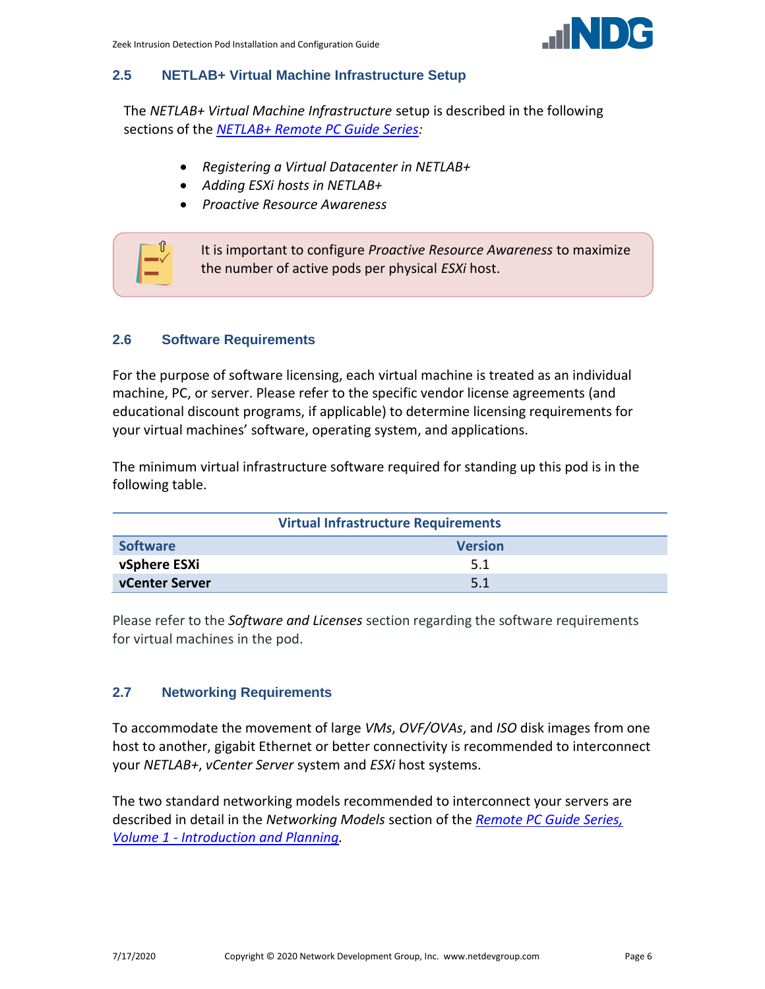

#### <span id="page-5-0"></span>**2.5 NETLAB+ Virtual Machine Infrastructure Setup**

The *NETLAB+ Virtual Machine Infrastructure* setup is described in the following sections of the *[NETLAB+ Remote PC Guide Series:](http://www.netdevgroup.com/support/documentation/netlabve/)*

- *Registering a Virtual Datacenter in NETLAB+*
- *Adding ESXi hosts in NETLAB+*
- *Proactive Resource Awareness*



#### <span id="page-5-1"></span>**2.6 Software Requirements**

For the purpose of software licensing, each virtual machine is treated as an individual machine, PC, or server. Please refer to the specific vendor license agreements (and educational discount programs, if applicable) to determine licensing requirements for your virtual machines' software, operating system, and applications.

The minimum virtual infrastructure software required for standing up this pod is in the following table.

| <b>Virtual Infrastructure Requirements</b> |     |  |  |  |
|--------------------------------------------|-----|--|--|--|
| <b>Software</b><br><b>Version</b>          |     |  |  |  |
| vSphere ESXi                               | 5.1 |  |  |  |
| vCenter Server                             | 5.1 |  |  |  |

Please refer to the *Software and Licenses* section regarding the software requirements for virtual machines in the pod.

#### <span id="page-5-2"></span>**2.7 Networking Requirements**

To accommodate the movement of large *VMs*, *OVF/OVAs*, and *ISO* disk images from one host to another, gigabit Ethernet or better connectivity is recommended to interconnect your *NETLAB+*, *vCenter Server* system and *ESXi* host systems.

The two standard networking models recommended to interconnect your servers are described in detail in the *Networking Models* section of the *[Remote PC Guide Series,](http://www.netdevgroup.com/support/documentation/NETLAB_Remote_PC_Guide_Vol_1_Introduction.pdf)  Volume 1 - [Introduction and Planning.](http://www.netdevgroup.com/support/documentation/NETLAB_Remote_PC_Guide_Vol_1_Introduction.pdf)*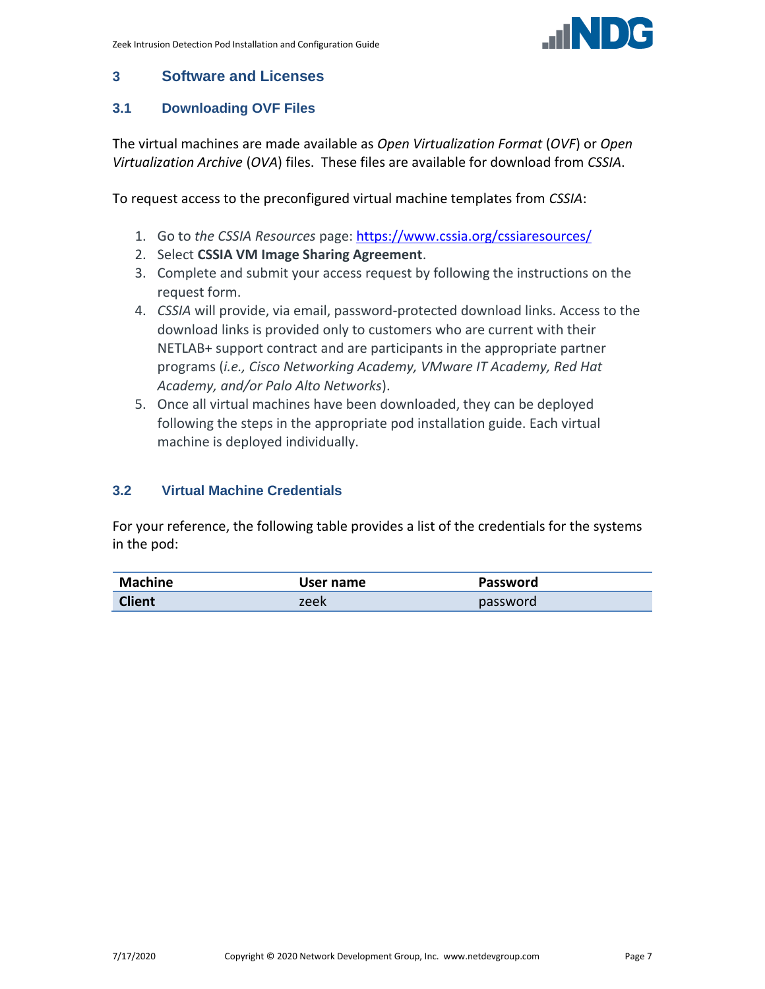

#### <span id="page-6-0"></span>**3 Software and Licenses**

#### <span id="page-6-1"></span>**3.1 Downloading OVF Files**

The virtual machines are made available as *Open Virtualization Format* (*OVF*) or *Open Virtualization Archive* (*OVA*) files. These files are available for download from *CSSIA*.

To request access to the preconfigured virtual machine templates from *CSSIA*:

- 1. Go to *the CSSIA Resources* page: <https://www.cssia.org/cssiaresources/>
- 2. Select **CSSIA VM Image Sharing Agreement**.
- 3. Complete and submit your access request by following the instructions on the request form.
- 4. *CSSIA* will provide, via email, password-protected download links. Access to the download links is provided only to customers who are current with their NETLAB+ support contract and are participants in the appropriate partner programs (*i.e., Cisco Networking Academy, VMware IT Academy, Red Hat Academy, and/or Palo Alto Networks*).
- 5. Once all virtual machines have been downloaded, they can be deployed following the steps in the appropriate pod installation guide. Each virtual machine is deployed individually.

#### <span id="page-6-2"></span>**3.2 Virtual Machine Credentials**

For your reference, the following table provides a list of the credentials for the systems in the pod:

| Machine       | User name | <b>Password</b> |
|---------------|-----------|-----------------|
| <b>Client</b> | zeek      | password        |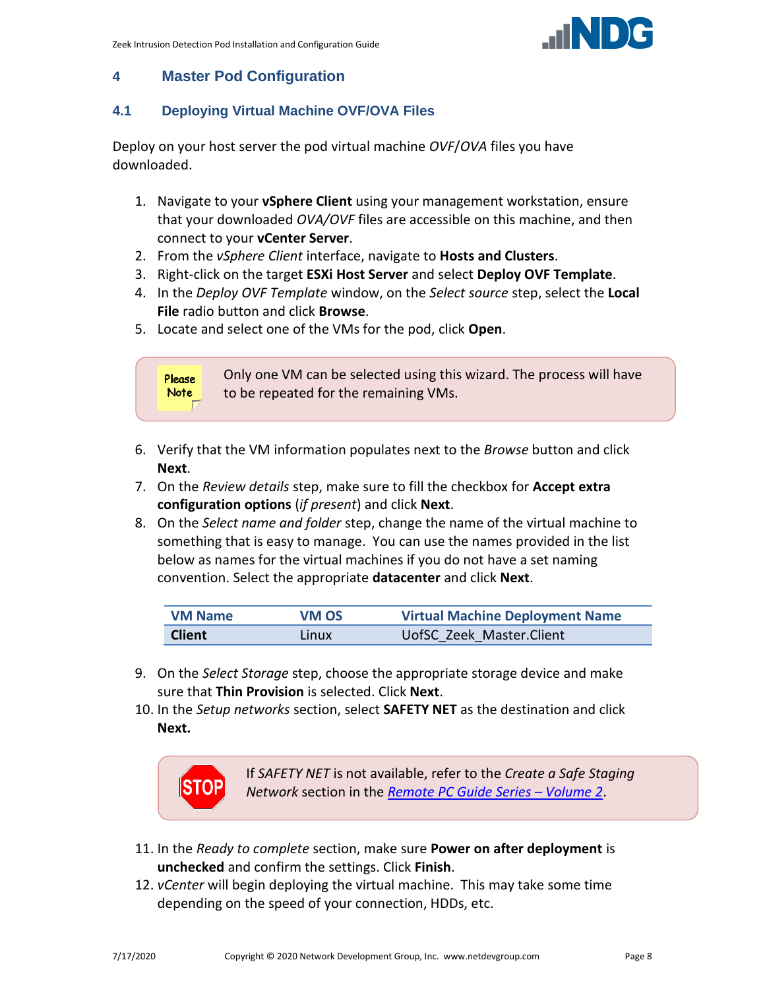

#### <span id="page-7-0"></span>**4 Master Pod Configuration**

#### <span id="page-7-1"></span>**4.1 Deploying Virtual Machine OVF/OVA Files**

Deploy on your host server the pod virtual machine *OVF*/*OVA* files you have downloaded.

- 1. Navigate to your **vSphere Client** using your management workstation, ensure that your downloaded *OVA/OVF* files are accessible on this machine, and then connect to your **vCenter Server**.
- 2. From the *vSphere Client* interface, navigate to **Hosts and Clusters**.
- 3. Right-click on the target **ESXi Host Server** and select **Deploy OVF Template**.
- 4. In the *Deploy OVF Template* window, on the *Select source* step, select the **Local File** radio button and click **Browse**.
- 5. Locate and select one of the VMs for the pod, click **Open**.



- 6. Verify that the VM information populates next to the *Browse* button and click **Next**.
- 7. On the *Review details* step, make sure to fill the checkbox for **Accept extra configuration options** (*if present*) and click **Next**.
- 8. On the *Select name and folder* step, change the name of the virtual machine to something that is easy to manage. You can use the names provided in the list below as names for the virtual machines if you do not have a set naming convention. Select the appropriate **datacenter** and click **Next**.

| <b>VM Name</b> | VM OS | <b>Virtual Machine Deployment Name</b> |
|----------------|-------|----------------------------------------|
| <b>Client</b>  | Linux | UofSC Zeek Master. Client              |

- 9. On the *Select Storage* step, choose the appropriate storage device and make sure that **Thin Provision** is selected. Click **Next**.
- 10. In the *Setup networks* section, select **SAFETY NET** as the destination and click **Next.**



If *SAFETY NET* is not available, refer to the *Create a Safe Staging Network* section in the *[Remote PC Guide Series](http://www.netdevgroup.com/support/documentation/NETLAB_Remote_PC_Guide_Vol_2_Installation.pdf) – Volume 2*.

- 11. In the *Ready to complete* section, make sure **Power on after deployment** is **unchecked** and confirm the settings. Click **Finish**.
- 12. *vCenter* will begin deploying the virtual machine. This may take some time depending on the speed of your connection, HDDs, etc.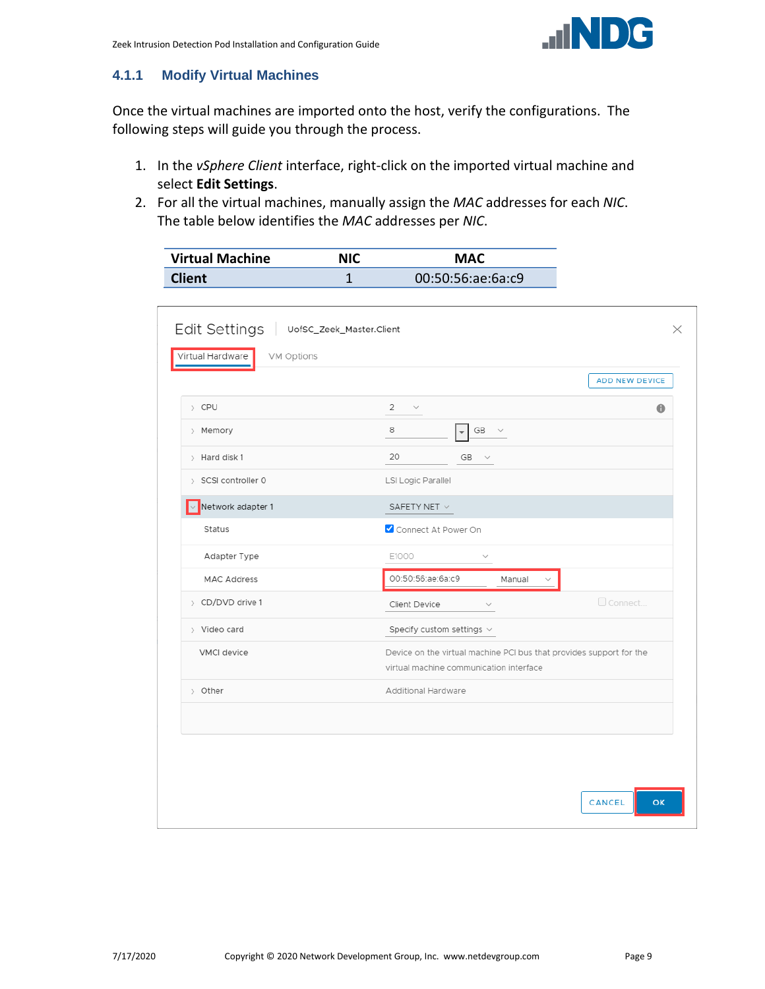

#### <span id="page-8-0"></span>**4.1.1 Modify Virtual Machines**

Once the virtual machines are imported onto the host, verify the configurations. The following steps will guide you through the process.

- 1. In the *vSphere Client* interface, right-click on the imported virtual machine and select **Edit Settings**.
- 2. For all the virtual machines, manually assign the *MAC* addresses for each *NIC*. The table below identifies the *MAC* addresses per *NIC*.

| <b>Virtual Machine</b> | <b>NIC</b> | <b>MAC</b>        |
|------------------------|------------|-------------------|
| <b>Client</b>          |            | 00:50:56:ae:6a:c9 |

|                          | <b>ADD NEW DEVICE</b>                                                                                          |
|--------------------------|----------------------------------------------------------------------------------------------------------------|
| > CPU                    | 2<br>$\bullet$<br>$\sim$                                                                                       |
| > Memory                 | 8<br>$GB \quad \lor$                                                                                           |
| > Hard disk 1            | 20<br>GB<br>$\sim$                                                                                             |
| > SCSI controller 0      | LSI Logic Parallel                                                                                             |
| $\vee$ Network adapter 1 | SAFETY NET $\vee$                                                                                              |
| Status                   | Connect At Power On                                                                                            |
| Adapter Type             | E1000                                                                                                          |
| <b>MAC Address</b>       | 00:50:56:ae:6a:c9<br>Manual                                                                                    |
| > CD/DVD drive 1         | Connect.<br>Client Device                                                                                      |
| > Video card             | Specify custom settings $\vee$                                                                                 |
| VMCI device              | Device on the virtual machine PCI bus that provides support for the<br>virtual machine communication interface |
| > Other                  | Additional Hardware                                                                                            |
|                          |                                                                                                                |
|                          |                                                                                                                |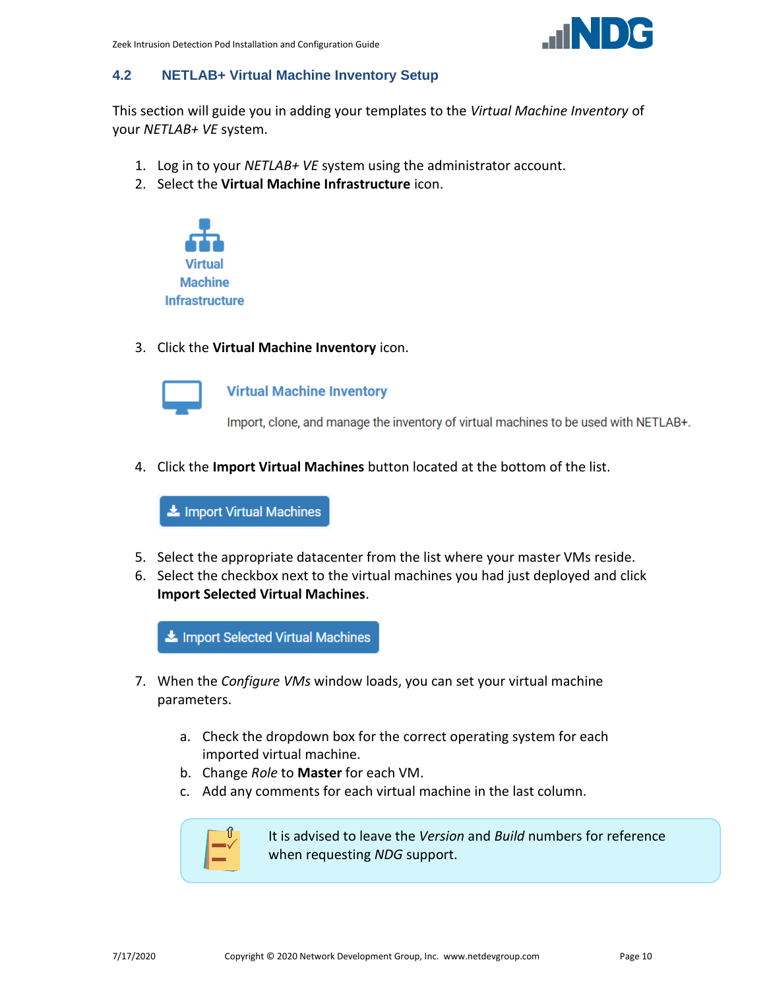

#### <span id="page-9-0"></span>**4.2 NETLAB+ Virtual Machine Inventory Setup**

This section will guide you in adding your templates to the *Virtual Machine Inventory* of your *NETLAB+ VE* system.

- 1. Log in to your *NETLAB+ VE* system using the administrator account.
- 2. Select the **Virtual Machine Infrastructure** icon.



3. Click the **Virtual Machine Inventory** icon.



**Virtual Machine Inventory** 

Import, clone, and manage the inventory of virtual machines to be used with NETLAB+.

4. Click the **Import Virtual Machines** button located at the bottom of the list.

Import Virtual Machines

- 5. Select the appropriate datacenter from the list where your master VMs reside.
- 6. Select the checkbox next to the virtual machines you had just deployed and click **Import Selected Virtual Machines**.

Import Selected Virtual Machines

- 7. When the *Configure VMs* window loads, you can set your virtual machine parameters.
	- a. Check the dropdown box for the correct operating system for each imported virtual machine.
	- b. Change *Role* to **Master** for each VM.
	- c. Add any comments for each virtual machine in the last column.



It is advised to leave the *Version* and *Build* numbers for reference when requesting *NDG* support.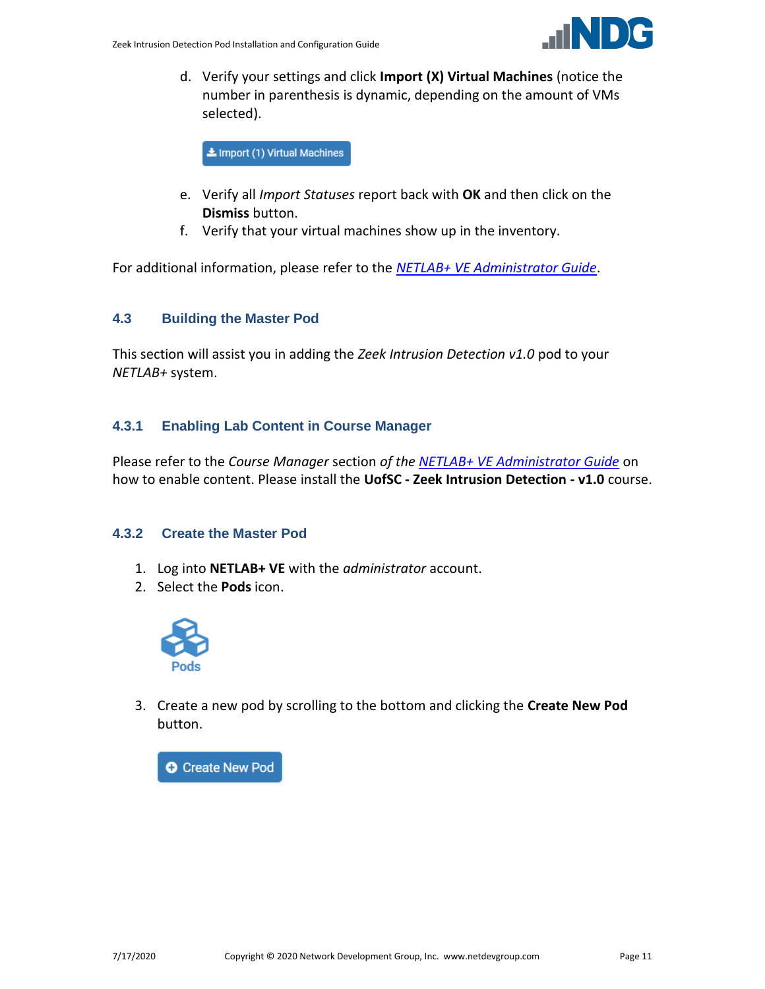

d. Verify your settings and click **Import (X) Virtual Machines** (notice the number in parenthesis is dynamic, depending on the amount of VMs selected).

Import (1) Virtual Machines

- e. Verify all *Import Statuses* report back with **OK** and then click on the **Dismiss** button.
- f. Verify that your virtual machines show up in the inventory.

For additional information, please refer to the *[NETLAB+ VE Administrator Guide](http://www.netdevgroup.com/support/documentation/netlabve/netlabve_administrator_guide.pdf#nameddest=virtual_machine_infrastructure)*.

#### <span id="page-10-0"></span>**4.3 Building the Master Pod**

This section will assist you in adding the *Zeek Intrusion Detection v1.0* pod to your *NETLAB+* system.

#### <span id="page-10-1"></span>**4.3.1 Enabling Lab Content in Course Manager**

Please refer to the *Course Manager* section *of the [NETLAB+ VE Administrator Guide](https://www.netdevgroup.com/support/documentation/netlabve/netlabve_administrator_guide.pdf#nameddest=course_manager)* on how to enable content. Please install the **UofSC - Zeek Intrusion Detection - v1.0** course.

#### <span id="page-10-2"></span>**4.3.2 Create the Master Pod**

- 1. Log into **NETLAB+ VE** with the *administrator* account.
- 2. Select the **Pods** icon.



3. Create a new pod by scrolling to the bottom and clicking the **Create New Pod** button.

**O** Create New Pod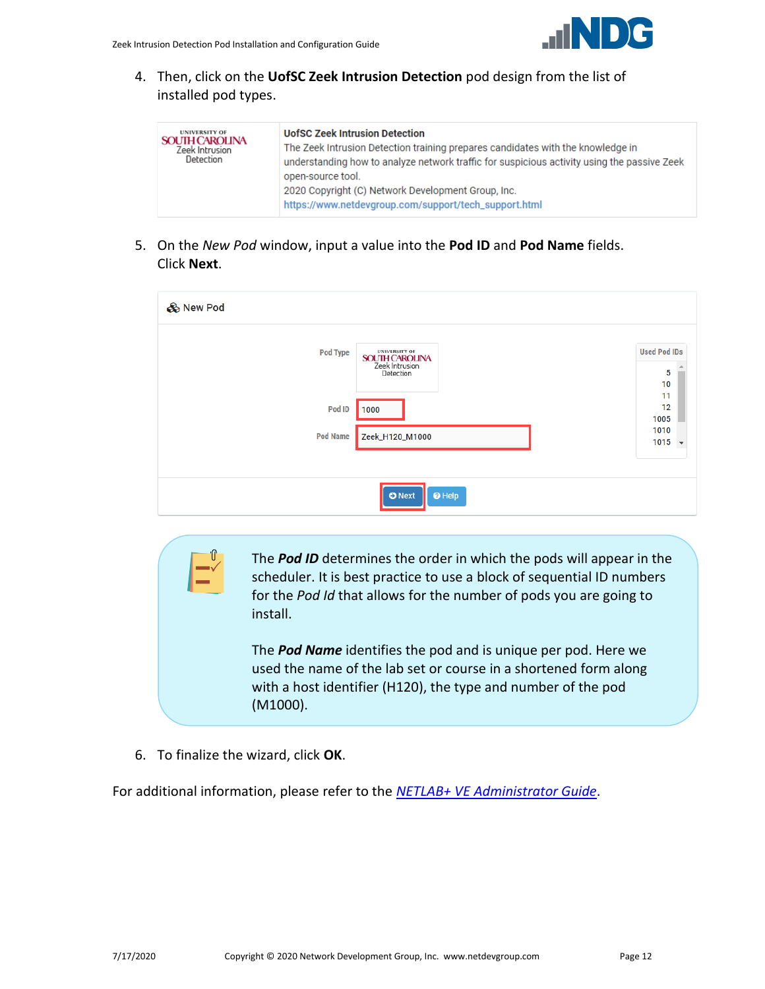

4. Then, click on the **UofSC Zeek Intrusion Detection** pod design from the list of installed pod types.

| <b>UNIVERSITY OF</b><br><b>SOUTH CAROLINA</b><br>Zeek Intrusion<br>Detection | <b>UofSC Zeek Intrusion Detection</b><br>The Zeek Intrusion Detection training prepares candidates with the knowledge in<br>understanding how to analyze network traffic for suspicious activity using the passive Zeek<br>open-source tool.<br>2020 Copyright (C) Network Development Group, Inc.<br>https://www.netdevgroup.com/support/tech_support.html |
|------------------------------------------------------------------------------|-------------------------------------------------------------------------------------------------------------------------------------------------------------------------------------------------------------------------------------------------------------------------------------------------------------------------------------------------------------|
|------------------------------------------------------------------------------|-------------------------------------------------------------------------------------------------------------------------------------------------------------------------------------------------------------------------------------------------------------------------------------------------------------------------------------------------------------|

5. On the *New Pod* window, input a value into the **Pod ID** and **Pod Name** fields. Click **Next**.

| & New Pod       |                                                                              |                                          |
|-----------------|------------------------------------------------------------------------------|------------------------------------------|
| <b>Pod Type</b> | <b>UNIVERSITY OF</b><br><b>SOUTH CAROLINA</b><br>Zeek Intrusion<br>Detection | <b>Used Pod IDs</b><br>5<br>10           |
| Pod ID          | 1000                                                                         | 11<br>12<br>1005                         |
| <b>Pod Name</b> | Zeek_H120_M1000                                                              | 1010<br>1015<br>$\overline{\phantom{a}}$ |
|                 |                                                                              |                                          |
|                 | $\Theta$ Help<br><b>O</b> Next                                               |                                          |

The *Pod ID* determines the order in which the pods will appear in the scheduler. It is best practice to use a block of sequential ID numbers for the *Pod Id* that allows for the number of pods you are going to install.

The *Pod Name* identifies the pod and is unique per pod. Here we used the name of the lab set or course in a shortened form along with a host identifier (H120), the type and number of the pod (M1000).

6. To finalize the wizard, click **OK**.

For additional information, please refer to the *NETLAB+ VE [Administrator Guide](http://www.netdevgroup.com/support/documentation/netlabve/netlabve_administrator_guide.pdf)*.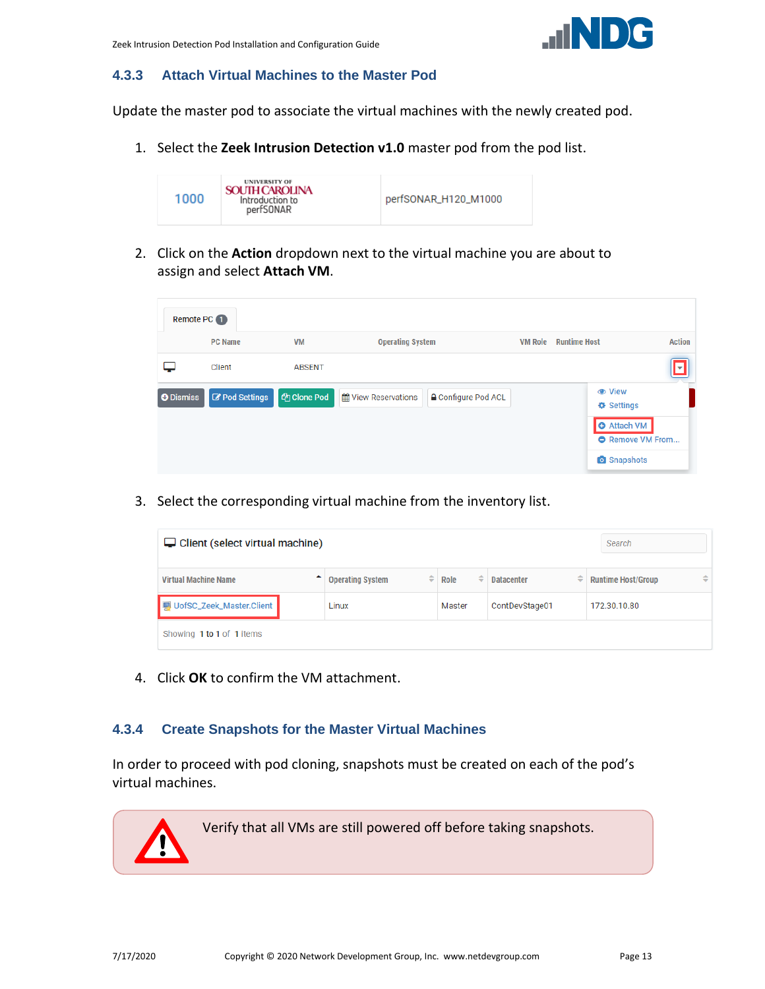

#### <span id="page-12-0"></span>**4.3.3 Attach Virtual Machines to the Master Pod**

Update the master pod to associate the virtual machines with the newly created pod.

1. Select the **Zeek Intrusion Detection v1.0** master pod from the pod list.



2. Click on the **Action** dropdown next to the virtual machine you are about to assign and select **Attach VM**.

| Remote PC 1      |                |                    |                                                          |                |                                      |                          |  |
|------------------|----------------|--------------------|----------------------------------------------------------|----------------|--------------------------------------|--------------------------|--|
|                  | <b>PC Name</b> | <b>VM</b>          | <b>Operating System</b>                                  | <b>VM Role</b> | <b>Runtime Host</b>                  | <b>Action</b>            |  |
|                  | Client         | <b>ABSENT</b>      |                                                          |                |                                      | $\overline{\phantom{a}}$ |  |
| <b>O</b> Dismiss | Pod Settings   | <b>图 Clone Pod</b> | <b>△</b> Configure Pod ACL<br><b>簡 View Reservations</b> |                | <b>♦ Settings</b>                    |                          |  |
|                  |                |                    |                                                          |                | <b>O</b> Attach VM<br>Remove VM From |                          |  |
|                  |                |                    |                                                          |                | <b>o</b> Snapshots                   |                          |  |

3. Select the corresponding virtual machine from the inventory list.

| $\Box$ Client (select virtual machine) | Search                       |           |                   |                                            |
|----------------------------------------|------------------------------|-----------|-------------------|--------------------------------------------|
| <b>Virtual Machine Name</b>            | ≙<br><b>Operating System</b> | Role<br>≑ | <b>Datacenter</b> | $\Rightarrow$<br><b>Runtime Host/Group</b> |
| UofSC_Zeek_Master.Client               | Linux                        | Master    | ContDevStage01    | 172.30.10.80                               |
| Showing 1 to 1 of 1 items              |                              |           |                   |                                            |

4. Click **OK** to confirm the VM attachment.

#### <span id="page-12-1"></span>**4.3.4 Create Snapshots for the Master Virtual Machines**

In order to proceed with pod cloning, snapshots must be created on each of the pod's virtual machines.

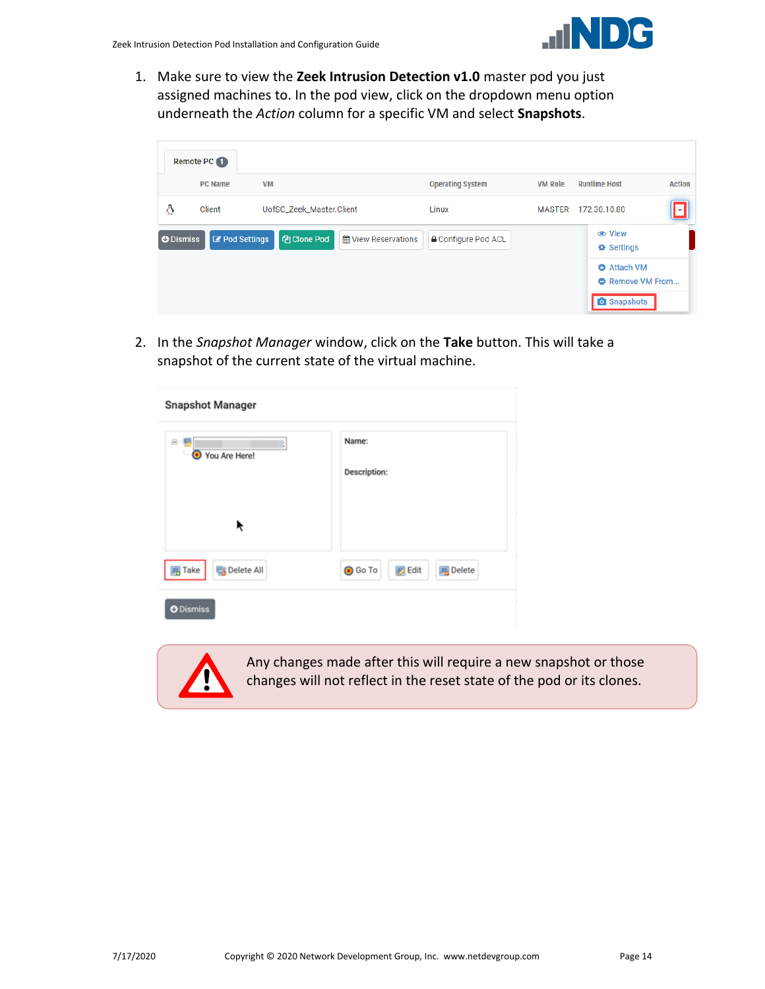1. Make sure to view the **Zeek Intrusion Detection v1.0** master pod you just assigned machines to. In the pod view, click on the dropdown menu option underneath the *Action* column for a specific VM and select **Snapshots**.

|                  | Remote PC 1           |                          |                            |                            |                                                                                          |  |  |  |
|------------------|-----------------------|--------------------------|----------------------------|----------------------------|------------------------------------------------------------------------------------------|--|--|--|
|                  | <b>PC Name</b>        | <b>VM</b>                | <b>Operating System</b>    | <b>VM Role</b>             | <b>Action</b><br><b>Runtime Host</b>                                                     |  |  |  |
| ۵                | Client                | UofSC_Zeek_Master.Client | Linux                      |                            | MASTER 172.30.10.80<br>ıт                                                                |  |  |  |
| <b>O</b> Dismiss | <b>Z</b> Pod Settings | <b>4</b> Clone Pod       | <b>M</b> View Reservations | <b>A</b> Configure Pod ACL | <b>♦ Settings</b><br><b>O</b> Attach VM<br><b>A</b> Remove VM From<br><b>O</b> Snapshots |  |  |  |

2. In the *Snapshot Manager* window, click on the **Take** button. This will take a snapshot of the current state of the virtual machine.

| <b>Snapshot Manager</b>           |                                                    |
|-----------------------------------|----------------------------------------------------|
| 白 層<br>You Are Here!<br>◉         | Name:<br><b>Description:</b>                       |
| ř                                 |                                                    |
| $\overline{B}$ Take<br>Delete All | <b>⊙</b> Go To<br><b>B</b> Delete<br><b>B</b> Edit |
| <b>O</b> Dismiss                  |                                                    |



Any changes made after this will require a new snapshot or those changes will not reflect in the reset state of the pod or its clones.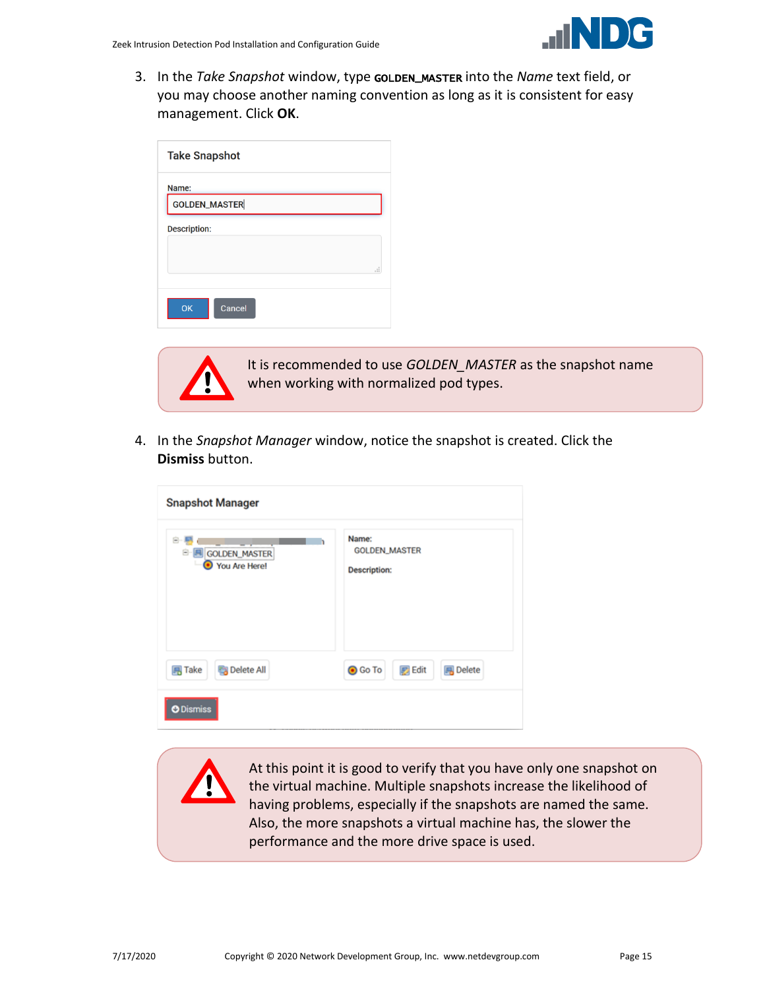3. In the *Take Snapshot* window, type GOLDEN\_MASTER into the *Name* text field, or you may choose another naming convention as long as it is consistent for easy management. Click **OK**.

| <b>Take Snapshot</b> |   |
|----------------------|---|
| Name:                |   |
| <b>GOLDEN_MASTER</b> |   |
| <b>Description:</b>  |   |
|                      |   |
|                      | i |
| OK<br>Cancel         |   |



It is recommended to use *GOLDEN\_MASTER* as the snapshot name when working with normalized pod types.

4. In the *Snapshot Manager* window, notice the snapshot is created. Click the **Dismiss** button.

| <b>Snapshot Manager</b>                   |                                                      |
|-------------------------------------------|------------------------------------------------------|
| Ė.<br>GOLDEN_MASTER<br>Θ<br>You Are Here! | Name:<br><b>GOLDEN_MASTER</b><br><b>Description:</b> |
| <b>B</b> Delete All<br><b>马 Take</b>      | <b>Edit</b><br><b>風</b> Delete<br><b>O</b> Go To     |
| <b>O</b> Dismiss                          |                                                      |

At this point it is good to verify that you have only one snapshot on the virtual machine. Multiple snapshots increase the likelihood of having problems, especially if the snapshots are named the same. Also, the more snapshots a virtual machine has, the slower the performance and the more drive space is used.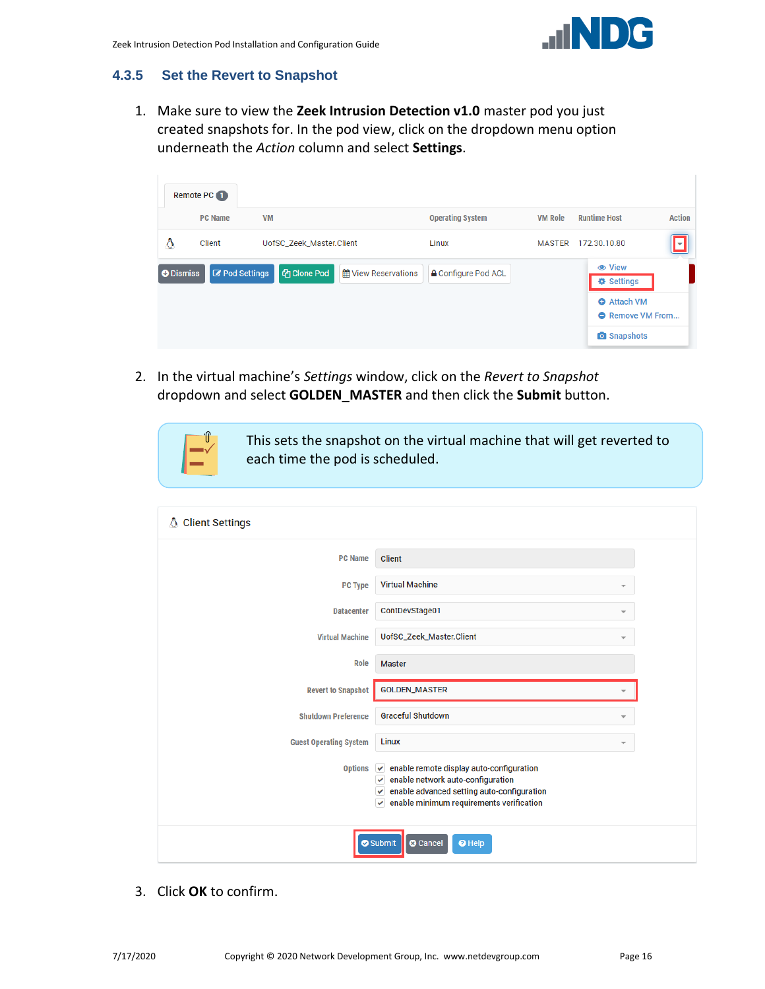

#### <span id="page-15-0"></span>**4.3.5 Set the Revert to Snapshot**

1. Make sure to view the **Zeek Intrusion Detection v1.0** master pod you just created snapshots for. In the pod view, click on the dropdown menu option underneath the *Action* column and select **Settings**.

|   | Remote PC 1                               |                          |                            |                            |                |                                                                                                       |               |
|---|-------------------------------------------|--------------------------|----------------------------|----------------------------|----------------|-------------------------------------------------------------------------------------------------------|---------------|
|   | <b>PC Name</b>                            | <b>VM</b>                |                            | <b>Operating System</b>    | <b>VM Role</b> | <b>Runtime Host</b>                                                                                   | <b>Action</b> |
| Δ | Client                                    | UofSC_Zeek_Master.Client |                            | Linux                      | <b>MASTER</b>  | 172.30.10.80                                                                                          | lм            |
|   | <b>Z</b> Pod Settings<br><b>O</b> Dismiss | <b>图 Clone Pod</b>       | <b>单 View Reservations</b> | <b>≙</b> Configure Pod ACL |                | <b><math>≩</math></b> Settings<br><b>O</b> Attach VM<br><b>O</b> Remove VM From<br><b>O</b> Snapshots |               |

2. In the virtual machine's *Settings* window, click on the *Revert to Snapshot* dropdown and select **GOLDEN\_MASTER** and then click the **Submit** button.



This sets the snapshot on the virtual machine that will get reverted to each time the pod is scheduled.

| <b>Client Settings</b><br>₩   |                                                                                                                                                                                                                             |  |
|-------------------------------|-----------------------------------------------------------------------------------------------------------------------------------------------------------------------------------------------------------------------------|--|
| <b>PC Name</b>                | Client                                                                                                                                                                                                                      |  |
| <b>PC Type</b>                | <b>Virtual Machine</b><br>$\overline{\phantom{a}}$                                                                                                                                                                          |  |
| <b>Datacenter</b>             | ContDevStage01<br>$\overline{\phantom{a}}$                                                                                                                                                                                  |  |
| <b>Virtual Machine</b>        | UofSC_Zeek_Master.Client<br>$\overline{\phantom{a}}$                                                                                                                                                                        |  |
| Role                          | <b>Master</b>                                                                                                                                                                                                               |  |
| <b>Revert to Snapshot</b>     | <b>GOLDEN_MASTER</b>                                                                                                                                                                                                        |  |
| <b>Shutdown Preference</b>    | <b>Graceful Shutdown</b><br>v                                                                                                                                                                                               |  |
| <b>Guest Operating System</b> | Linux<br>$\overline{\phantom{a}}$                                                                                                                                                                                           |  |
| <b>Options</b>                | $\vee$ enable remote display auto-configuration<br>$\vee$ enable network auto-configuration<br>$\blacktriangleright$ enable advanced setting auto-configuration<br>enable minimum requirements verification<br>$\checkmark$ |  |
|                               | Submit<br><b>8</b> Cancel<br><sup>O</sup> Help                                                                                                                                                                              |  |

3. Click **OK** to confirm.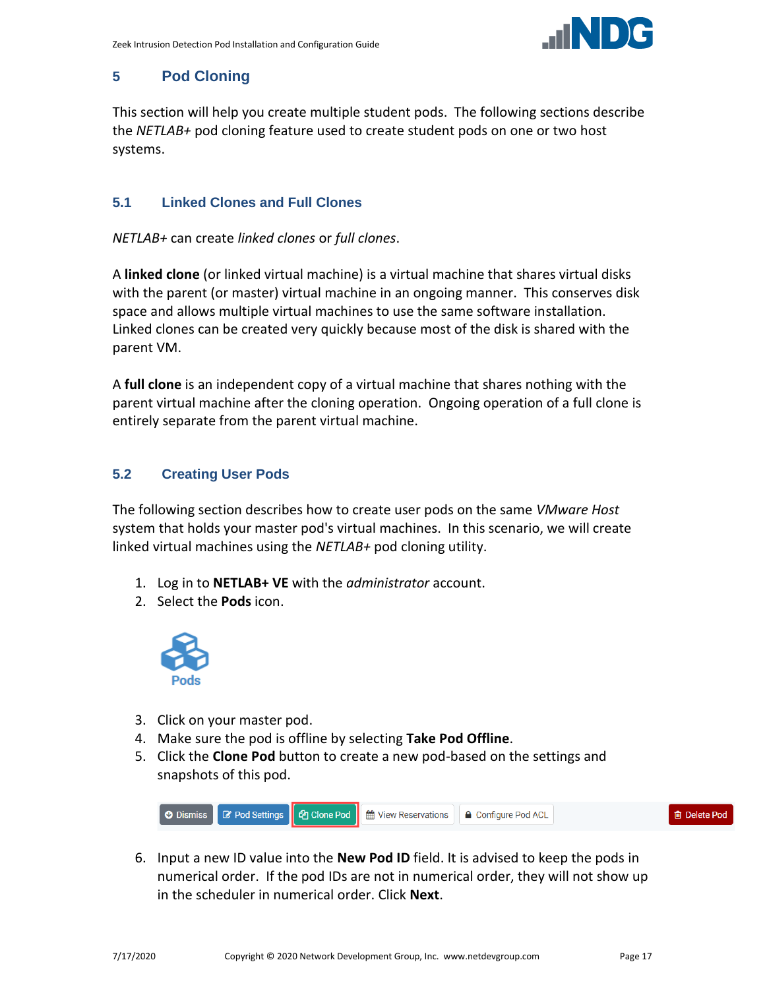

#### <span id="page-16-0"></span>**5 Pod Cloning**

This section will help you create multiple student pods. The following sections describe the *NETLAB+* pod cloning feature used to create student pods on one or two host systems.

#### <span id="page-16-1"></span>**5.1 Linked Clones and Full Clones**

*NETLAB+* can create *linked clones* or *full clones*.

A **linked clone** (or linked virtual machine) is a virtual machine that shares virtual disks with the parent (or master) virtual machine in an ongoing manner. This conserves disk space and allows multiple virtual machines to use the same software installation. Linked clones can be created very quickly because most of the disk is shared with the parent VM.

A **full clone** is an independent copy of a virtual machine that shares nothing with the parent virtual machine after the cloning operation. Ongoing operation of a full clone is entirely separate from the parent virtual machine.

#### <span id="page-16-2"></span>**5.2 Creating User Pods**

The following section describes how to create user pods on the same *VMware Host* system that holds your master pod's virtual machines. In this scenario, we will create linked virtual machines using the *NETLAB+* pod cloning utility.

- 1. Log in to **NETLAB+ VE** with the *administrator* account.
- 2. Select the **Pods** icon.



- 3. Click on your master pod.
- 4. Make sure the pod is offline by selecting **Take Pod Offline**.
- 5. Click the **Clone Pod** button to create a new pod-based on the settings and snapshots of this pod.



6. Input a new ID value into the **New Pod ID** field. It is advised to keep the pods in numerical order. If the pod IDs are not in numerical order, they will not show up in the scheduler in numerical order. Click **Next**.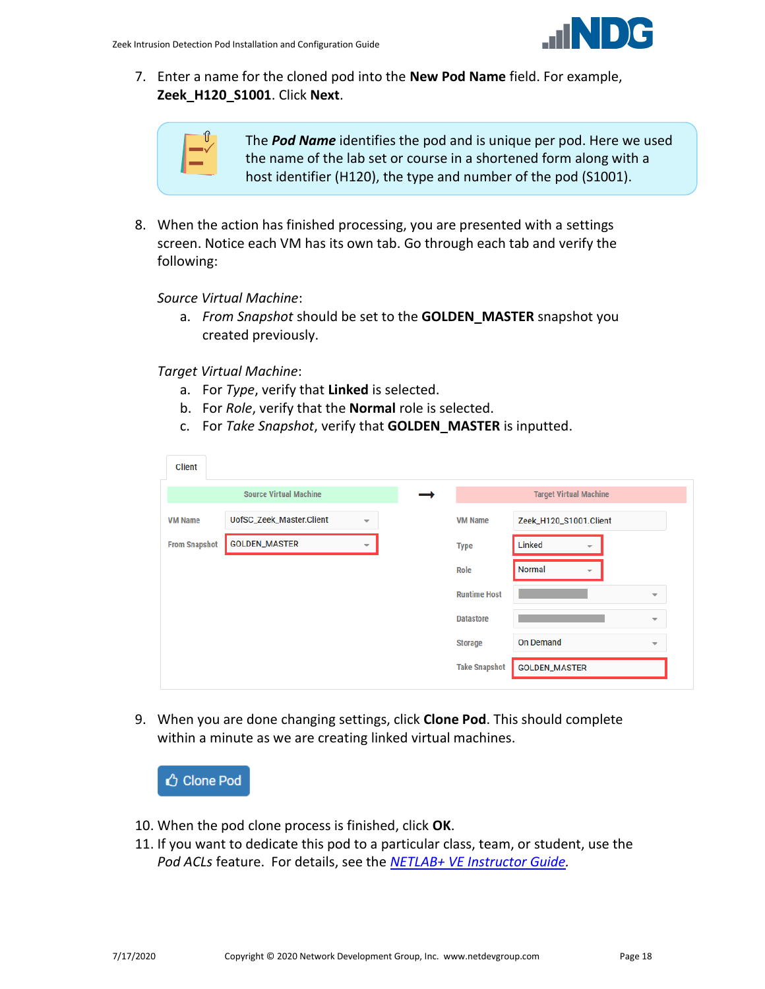

7. Enter a name for the cloned pod into the **New Pod Name** field. For example, **Zeek\_H120\_S1001**. Click **Next**.

|  | T |
|--|---|
|  |   |
|  |   |

The *Pod Name* identifies the pod and is unique per pod. Here we used the name of the lab set or course in a shortened form along with a host identifier (H120), the type and number of the pod (S1001).

8. When the action has finished processing, you are presented with a settings screen. Notice each VM has its own tab. Go through each tab and verify the following:

*Source Virtual Machine*:

a. *From Snapshot* should be set to the **GOLDEN\_MASTER** snapshot you created previously.

*Target Virtual Machine*:

- a. For *Type*, verify that **Linked** is selected.
- b. For *Role*, verify that the **Normal** role is selected.
- c. For *Take Snapshot*, verify that **GOLDEN\_MASTER** is inputted.

| <b>Source Virtual Machine</b><br><b>Target Virtual Machine</b><br>UofSC_Zeek_Master.Client<br><b>VM Name</b><br><b>VM Name</b><br>Zeek_H120_S1001.Client<br>$\overline{\phantom{a}}$<br><b>GOLDEN_MASTER</b><br><b>From Snapshot</b><br>Linked<br><b>Type</b><br>$\overline{\phantom{a}}$<br>Normal<br>Role |
|-------------------------------------------------------------------------------------------------------------------------------------------------------------------------------------------------------------------------------------------------------------------------------------------------------------|
|                                                                                                                                                                                                                                                                                                             |
|                                                                                                                                                                                                                                                                                                             |
|                                                                                                                                                                                                                                                                                                             |
|                                                                                                                                                                                                                                                                                                             |
| <b>Runtime Host</b><br>$\overline{\phantom{a}}$                                                                                                                                                                                                                                                             |
| <b>Datastore</b><br>$\overline{\mathbf{v}}$                                                                                                                                                                                                                                                                 |
| <b>On Demand</b><br><b>Storage</b><br>$\overline{\phantom{a}}$                                                                                                                                                                                                                                              |
| <b>Take Snapshot</b><br><b>GOLDEN_MASTER</b>                                                                                                                                                                                                                                                                |

9. When you are done changing settings, click **Clone Pod**. This should complete within a minute as we are creating linked virtual machines.



- 10. When the pod clone process is finished, click **OK**.
- 11. If you want to dedicate this pod to a particular class, team, or student, use the *Pod ACLs* feature. For details, see the *[NETLAB+ VE Instructor Guide.](http://www.netdevgroup.com/support/documentation/netlabve/netlabve_instructor_guide.pdf#nameddest=manage_pod_acls)*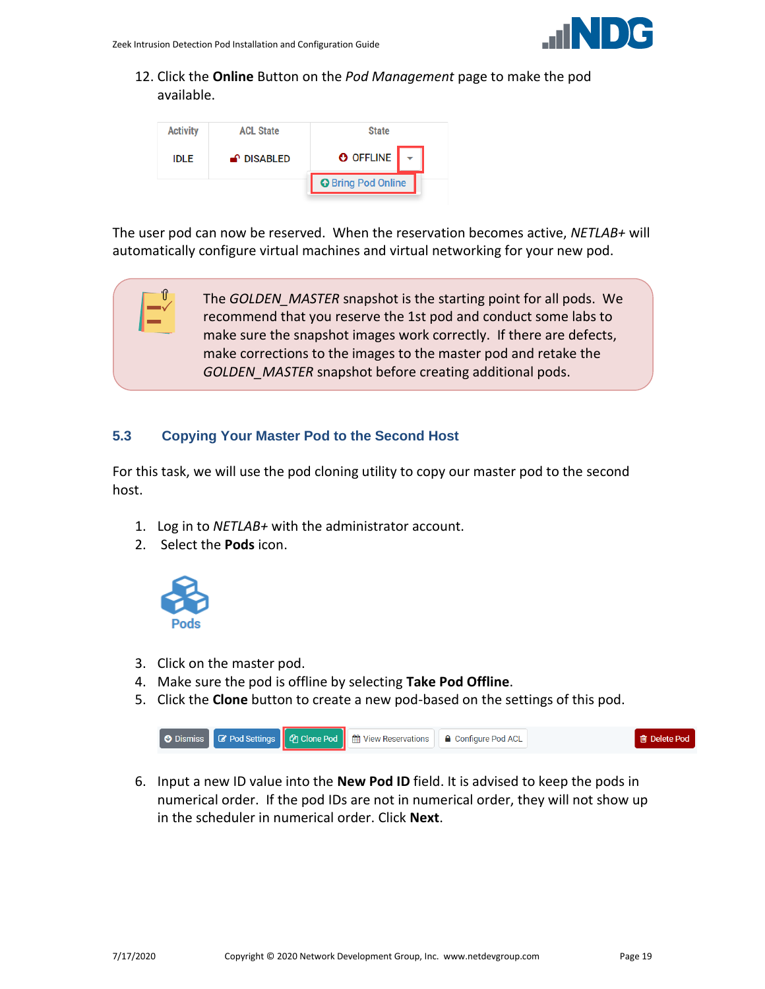

12. Click the **Online** Button on the *Pod Management* page to make the pod available.



The user pod can now be reserved. When the reservation becomes active, *NETLAB+* will automatically configure virtual machines and virtual networking for your new pod.

> The *GOLDEN\_MASTER* snapshot is the starting point for all pods. We recommend that you reserve the 1st pod and conduct some labs to make sure the snapshot images work correctly. If there are defects, make corrections to the images to the master pod and retake the *GOLDEN\_MASTER* snapshot before creating additional pods.

#### <span id="page-18-0"></span>**5.3 Copying Your Master Pod to the Second Host**

For this task, we will use the pod cloning utility to copy our master pod to the second host.

- 1. Log in to *NETLAB+* with the administrator account.
- 2. Select the **Pods** icon.



'ſf

- 3. Click on the master pod.
- 4. Make sure the pod is offline by selecting **Take Pod Offline**.
- 5. Click the **Clone** button to create a new pod-based on the settings of this pod.



6. Input a new ID value into the **New Pod ID** field. It is advised to keep the pods in numerical order. If the pod IDs are not in numerical order, they will not show up in the scheduler in numerical order. Click **Next**.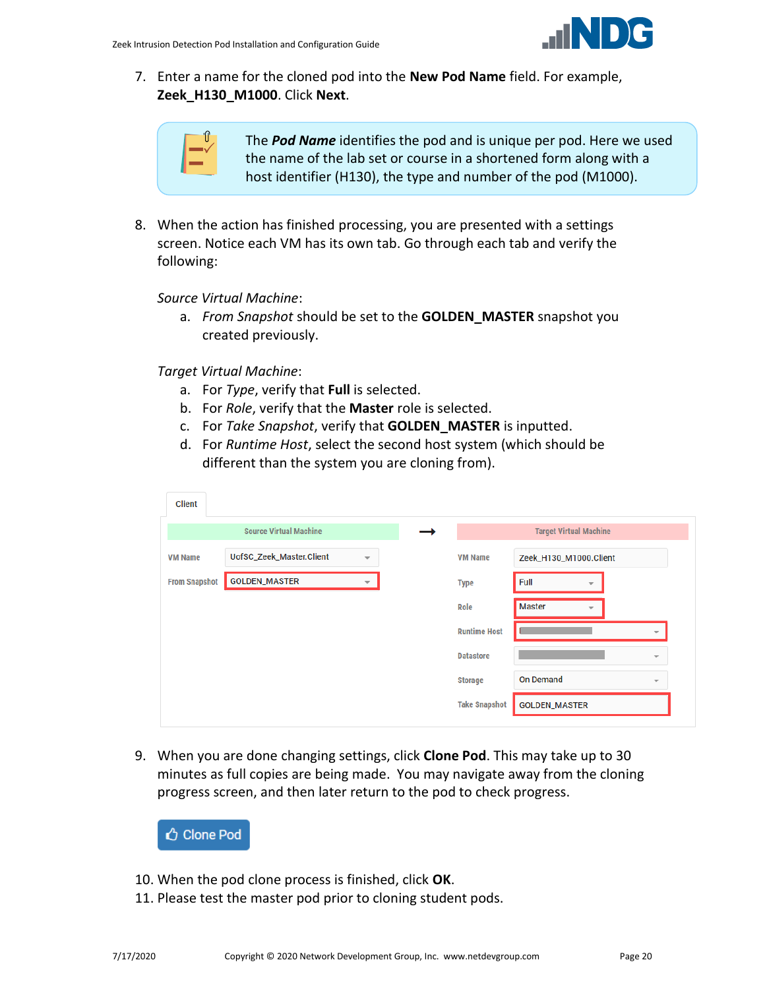

7. Enter a name for the cloned pod into the **New Pod Name** field. For example, **Zeek\_H130\_M1000**. Click **Next**.

| T |
|---|
|   |
|   |

The *Pod Name* identifies the pod and is unique per pod. Here we used the name of the lab set or course in a shortened form along with a host identifier (H130), the type and number of the pod (M1000).

8. When the action has finished processing, you are presented with a settings screen. Notice each VM has its own tab. Go through each tab and verify the following:

*Source Virtual Machine*:

a. *From Snapshot* should be set to the **GOLDEN\_MASTER** snapshot you created previously.

*Target Virtual Machine*:

- a. For *Type*, verify that **Full** is selected.
- b. For *Role*, verify that the **Master** role is selected.
- c. For *Take Snapshot*, verify that **GOLDEN\_MASTER** is inputted.
- d. For *Runtime Host*, select the second host system (which should be different than the system you are cloning from).

| Client               |                               |                          |                      |                                              |
|----------------------|-------------------------------|--------------------------|----------------------|----------------------------------------------|
|                      | <b>Source Virtual Machine</b> |                          |                      | <b>Target Virtual Machine</b>                |
| <b>VM Name</b>       | UofSC_Zeek_Master.Client      | $\overline{\phantom{a}}$ | <b>VM Name</b>       | Zeek_H130_M1000.Client                       |
| <b>From Snapshot</b> | <b>GOLDEN_MASTER</b>          | $\overline{\phantom{a}}$ | <b>Type</b>          | Full<br>$\overline{\phantom{a}}$             |
|                      |                               |                          | Role                 | <b>Master</b><br>÷                           |
|                      |                               |                          | <b>Runtime Host</b>  | $\overline{\phantom{a}}$                     |
|                      |                               |                          | <b>Datastore</b>     | $\overline{\phantom{a}}$                     |
|                      |                               |                          | <b>Storage</b>       | <b>On Demand</b><br>$\overline{\phantom{a}}$ |
|                      |                               |                          | <b>Take Snapshot</b> | <b>GOLDEN_MASTER</b>                         |

9. When you are done changing settings, click **Clone Pod**. This may take up to 30 minutes as full copies are being made. You may navigate away from the cloning progress screen, and then later return to the pod to check progress.

Clone Pod

- 10. When the pod clone process is finished, click **OK**.
- 11. Please test the master pod prior to cloning student pods.